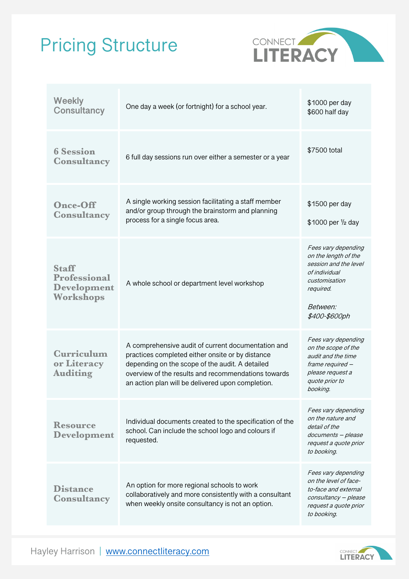## Pricing Structure



| <b>Weekly</b><br><b>Consultancy</b>                                    | One day a week (or fortnight) for a school year.                                                                                                                                                                                                                      | \$1000 per day<br>\$600 half day                                                                                                                        |
|------------------------------------------------------------------------|-----------------------------------------------------------------------------------------------------------------------------------------------------------------------------------------------------------------------------------------------------------------------|---------------------------------------------------------------------------------------------------------------------------------------------------------|
| <b>6 Session</b><br><b>Consultancy</b>                                 | 6 full day sessions run over either a semester or a year                                                                                                                                                                                                              | \$7500 total                                                                                                                                            |
| <b>Once-Off</b><br><b>Consultancy</b>                                  | A single working session facilitating a staff member<br>and/or group through the brainstorm and planning<br>process for a single focus area.                                                                                                                          | \$1500 per day<br>\$1000 per 1/2 day                                                                                                                    |
| <b>Staff</b><br><b>Professional</b><br><b>Development</b><br>Workshops | A whole school or department level workshop                                                                                                                                                                                                                           | Fees vary depending<br>on the length of the<br>session and the level<br>of individual<br>customisation<br>required.<br><i>Between:</i><br>\$400-\$600ph |
| <b>Curriculum</b><br>or Literacy<br><b>Auditing</b>                    | A comprehensive audit of current documentation and<br>practices completed either onsite or by distance<br>depending on the scope of the audit. A detailed<br>overview of the results and recommendations towards<br>an action plan will be delivered upon completion. | Fees vary depending<br>on the scope of the<br>audit and the time<br>frame required -<br>please request a<br>quote prior to<br>booking.                  |
| <b>Resource</b><br><b>Development</b>                                  | Individual documents created to the specification of the<br>school. Can include the school logo and colours if<br>requested.                                                                                                                                          | Fees vary depending<br>on the nature and<br>detail of the<br>documents - please<br>request a quote prior<br>to booking.                                 |
| <b>Distance</b><br><b>Consultancy</b>                                  | An option for more regional schools to work<br>collaboratively and more consistently with a consultant<br>when weekly onsite consultancy is not an option.                                                                                                            | Fees vary depending<br>on the level of face-<br>to-face and external<br>consultancy - please<br>request a quote prior<br>to booking.                    |